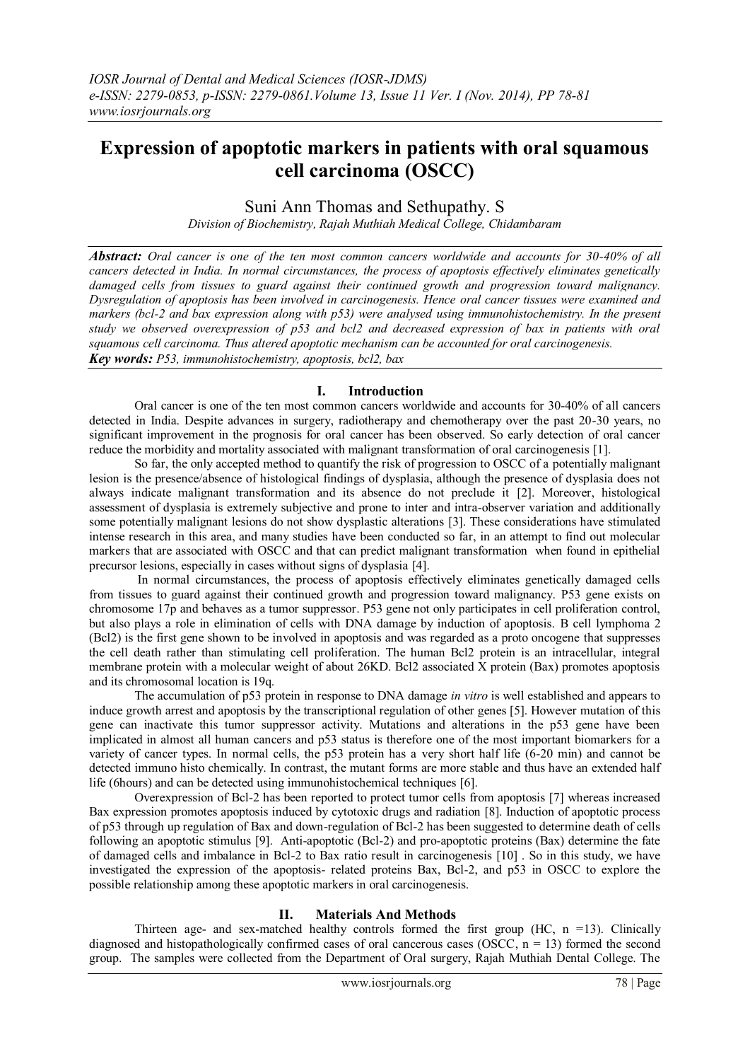# **Expression of apoptotic markers in patients with oral squamous cell carcinoma (OSCC)**

Suni Ann Thomas and Sethupathy. S

*Division of Biochemistry, Rajah Muthiah Medical College, Chidambaram*

*Abstract: Oral cancer is one of the ten most common cancers worldwide and accounts for 30-40% of all cancers detected in India. In normal circumstances, the process of apoptosis effectively eliminates genetically damaged cells from tissues to guard against their continued growth and progression toward malignancy. Dysregulation of apoptosis has been involved in carcinogenesis. Hence oral cancer tissues were examined and markers (bcl-2 and bax expression along with p53) were analysed using immunohistochemistry. In the present study we observed overexpression of p53 and bcl2 and decreased expression of bax in patients with oral squamous cell carcinoma. Thus altered apoptotic mechanism can be accounted for oral carcinogenesis. Key words: P53, immunohistochemistry, apoptosis, bcl2, bax*

## **I. Introduction**

Oral cancer is one of the ten most common cancers worldwide and accounts for 30-40% of all cancers detected in India. Despite advances in surgery, radiotherapy and chemotherapy over the past 20-30 years, no significant improvement in the prognosis for oral cancer has been observed. So early detection of oral cancer reduce the morbidity and mortality associated with malignant transformation of oral carcinogenesis [1].

So far, the only accepted method to quantify the risk of progression to OSCC of a potentially malignant lesion is the presence/absence of histological findings of dysplasia, although the presence of dysplasia does not always indicate malignant transformation and its absence do not preclude it [2]. Moreover, histological assessment of dysplasia is extremely subjective and prone to inter and intra-observer variation and additionally some potentially malignant lesions do not show dysplastic alterations [3]. These considerations have stimulated intense research in this area, and many studies have been conducted so far, in an attempt to find out molecular markers that are associated with OSCC and that can predict malignant transformation when found in epithelial precursor lesions, especially in cases without signs of dysplasia [4].

In normal circumstances, the process of apoptosis effectively eliminates genetically damaged cells from tissues to guard against their continued growth and progression toward malignancy. P53 gene exists on chromosome 17p and behaves as a tumor suppressor. P53 gene not only participates in cell proliferation control, but also plays a role in elimination of cells with DNA damage by induction of apoptosis. B cell lymphoma 2 (Bcl2) is the first gene shown to be involved in apoptosis and was regarded as a proto oncogene that suppresses the cell death rather than stimulating cell proliferation. The human Bcl2 protein is an intracellular, integral membrane protein with a molecular weight of about 26KD. Bcl2 associated X protein (Bax) promotes apoptosis and its chromosomal location is 19q.

The accumulation of p53 protein in response to DNA damage *in vitro* is well established and appears to induce growth arrest and apoptosis by the transcriptional regulation of other genes [5]. However mutation of this gene can inactivate this tumor suppressor activity. Mutations and alterations in the p53 gene have been implicated in almost all human cancers and p53 status is therefore one of the most important biomarkers for a variety of cancer types. In normal cells, the p53 protein has a very short half life (6-20 min) and cannot be detected immuno histo chemically. In contrast, the mutant forms are more stable and thus have an extended half life (6hours) and can be detected using immunohistochemical techniques [6].

Overexpression of Bcl-2 has been reported to protect tumor cells from apoptosis [7] whereas increased Bax expression promotes apoptosis induced by cytotoxic drugs and radiation [8]. Induction of apoptotic process of p53 through up regulation of Bax and down-regulation of Bcl-2 has been suggested to determine death of cells following an apoptotic stimulus [9]. Anti-apoptotic (Bcl-2) and pro-apoptotic proteins (Bax) determine the fate of damaged cells and imbalance in Bcl-2 to Bax ratio result in carcinogenesis [10] . So in this study, we have investigated the expression of the apoptosis- related proteins Bax, Bcl-2, and p53 in OSCC to explore the possible relationship among these apoptotic markers in oral carcinogenesis.

## **II. Materials And Methods**

Thirteen age- and sex-matched healthy controls formed the first group  $(HC, n = 13)$ . Clinically diagnosed and histopathologically confirmed cases of oral cancerous cases (OSCC,  $n = 13$ ) formed the second group. The samples were collected from the Department of Oral surgery, Rajah Muthiah Dental College. The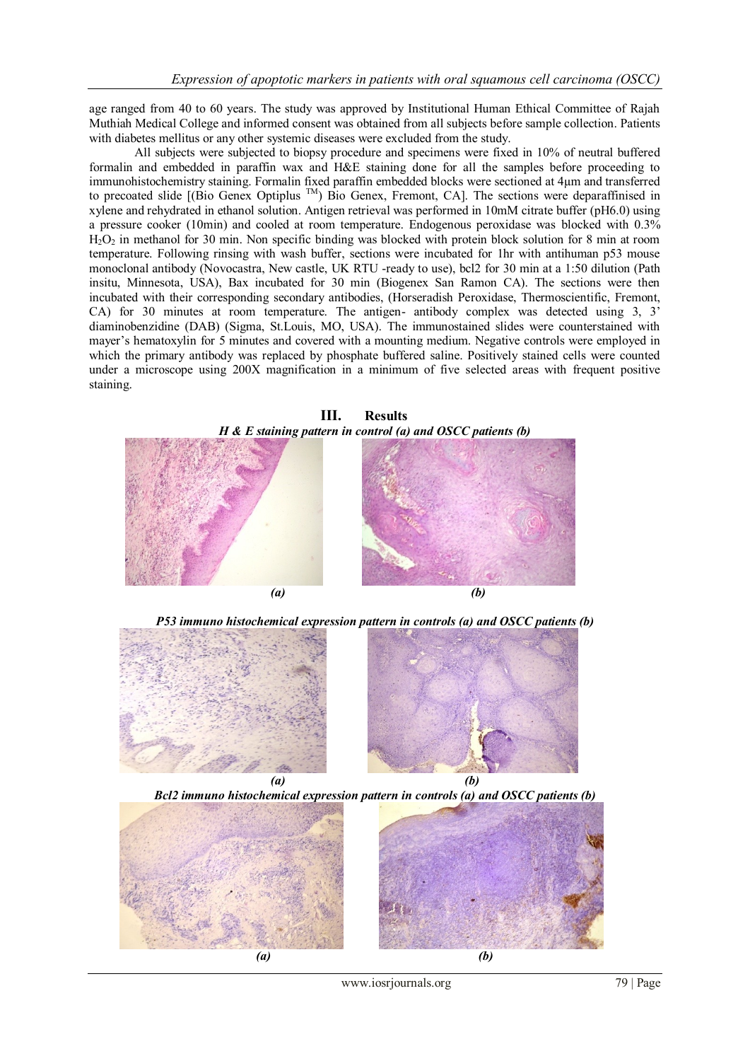age ranged from 40 to 60 years. The study was approved by Institutional Human Ethical Committee of Rajah Muthiah Medical College and informed consent was obtained from all subjects before sample collection. Patients with diabetes mellitus or any other systemic diseases were excluded from the study.

All subjects were subjected to biopsy procedure and specimens were fixed in 10% of neutral buffered formalin and embedded in paraffin wax and H&E staining done for all the samples before proceeding to immunohistochemistry staining. Formalin fixed paraffin embedded blocks were sectioned at 4µm and transferred to precoated slide [(Bio Genex Optiplus TM) Bio Genex, Fremont, CA]. The sections were deparaffinised in xylene and rehydrated in ethanol solution. Antigen retrieval was performed in 10mM citrate buffer (pH6.0) using a pressure cooker (10min) and cooled at room temperature. Endogenous peroxidase was blocked with 0.3% H2O<sup>2</sup> in methanol for 30 min. Non specific binding was blocked with protein block solution for 8 min at room temperature. Following rinsing with wash buffer, sections were incubated for 1hr with antihuman p53 mouse monoclonal antibody (Novocastra, New castle, UK RTU -ready to use), bcl2 for 30 min at a 1:50 dilution (Path insitu, Minnesota, USA), Bax incubated for 30 min (Biogenex San Ramon CA). The sections were then incubated with their corresponding secondary antibodies, (Horseradish Peroxidase, Thermoscientific, Fremont, CA) for 30 minutes at room temperature. The antigen- antibody complex was detected using 3, 3' diaminobenzidine (DAB) (Sigma, St.Louis, MO, USA). The immunostained slides were counterstained with mayer's hematoxylin for 5 minutes and covered with a mounting medium. Negative controls were employed in which the primary antibody was replaced by phosphate buffered saline. Positively stained cells were counted under a microscope using 200X magnification in a minimum of five selected areas with frequent positive staining.





www.iosrjournals.org 79 | Page

*(a) (b)*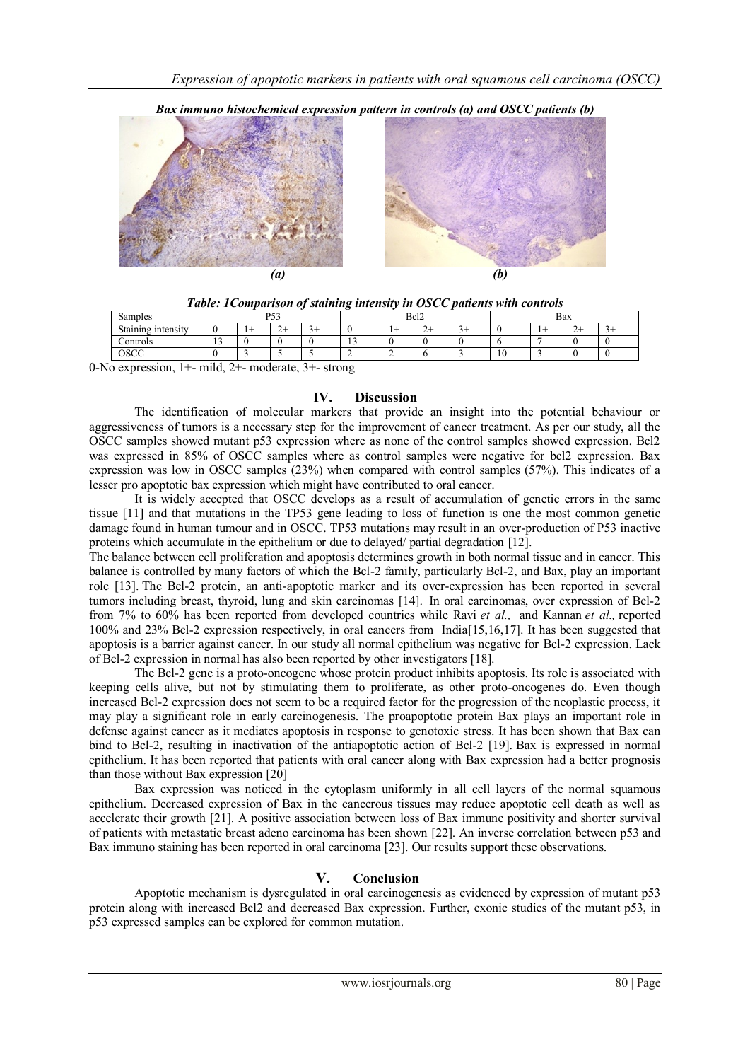



*Table: 1Comparison of staining intensity in OSCC patients with controls*

| $\sim$<br>Samples                                | D52<br>roo |  |   |  | Bcl <sub>2</sub> |  |             |   | Bax |   |   |  |
|--------------------------------------------------|------------|--|---|--|------------------|--|-------------|---|-----|---|---|--|
| $\sim$<br>Staining intensity                     |            |  | ∼ |  |                  |  | $\sim$<br>∼ | ۰ |     |   | ∸ |  |
| Controls                                         | $\sim$     |  |   |  | . .              |  |             |   |     | - |   |  |
| OSCC                                             |            |  |   |  |                  |  |             |   | 10  |   |   |  |
| $\mathbf{1}$ $\mathbf{1}$ $\mathbf{2}$<br>$\sim$ |            |  |   |  |                  |  |             |   |     |   |   |  |

0-No expression, 1+- mild, 2+- moderate, 3+- strong

### **IV. Discussion**

The identification of molecular markers that provide an insight into the potential behaviour or aggressiveness of tumors is a necessary step for the improvement of cancer treatment. As per our study, all the OSCC samples showed mutant p53 expression where as none of the control samples showed expression. Bcl2 was expressed in 85% of OSCC samples where as control samples were negative for bcl2 expression. Bax expression was low in OSCC samples (23%) when compared with control samples (57%). This indicates of a lesser pro apoptotic bax expression which might have contributed to oral cancer.

It is widely accepted that OSCC develops as a result of accumulation of genetic errors in the same tissue [11] and that mutations in the TP53 gene leading to loss of function is one the most common genetic damage found in human tumour and in OSCC. TP53 mutations may result in an over-production of P53 inactive proteins which accumulate in the epithelium or due to delayed/ partial degradation [12].

The balance between cell proliferation and apoptosis determines growth in both normal tissue and in cancer. This balance is controlled by many factors of which the Bcl-2 family, particularly Bcl-2, and Bax, play an important role [13]. The Bcl-2 protein, an anti-apoptotic marker and its over-expression has been reported in several tumors including breast, thyroid, lung and skin carcinomas [14]. In oral carcinomas, over expression of Bcl-2 from 7% to 60% has been reported from developed countries while Ravi *et al.,* and Kannan *et al.,* reported 100% and 23% Bcl-2 expression respectively, in oral cancers from India[15,16,17]. It has been suggested that apoptosis is a barrier against cancer. In our study all normal epithelium was negative for Bcl-2 expression. Lack of Bcl-2 expression in normal has also been reported by other investigators [18].

The Bcl-2 gene is a proto-oncogene whose protein product inhibits apoptosis. Its role is associated with keeping cells alive, but not by stimulating them to proliferate, as other proto-oncogenes do. Even though increased Bcl-2 expression does not seem to be a required factor for the progression of the neoplastic process, it may play a significant role in early carcinogenesis. The proapoptotic protein Bax plays an important role in defense against cancer as it mediates apoptosis in response to genotoxic stress. It has been shown that Bax can bind to Bcl-2, resulting in inactivation of the antiapoptotic action of Bcl-2 [19]. Bax is expressed in normal epithelium. It has been reported that patients with oral cancer along with Bax expression had a better prognosis than those without Bax expression [20]

Bax expression was noticed in the cytoplasm uniformly in all cell layers of the normal squamous epithelium. Decreased expression of Bax in the cancerous tissues may reduce apoptotic cell death as well as accelerate their growth [21]. A positive association between loss of Bax immune positivity and shorter survival of patients with metastatic breast adeno carcinoma has been shown [22]. An inverse correlation between p53 and Bax immuno staining has been reported in oral carcinoma [23]. Our results support these observations.

## **V. Conclusion**

Apoptotic mechanism is dysregulated in oral carcinogenesis as evidenced by expression of mutant p53 protein along with increased Bcl2 and decreased Bax expression. Further, exonic studies of the mutant p53, in p53 expressed samples can be explored for common mutation.